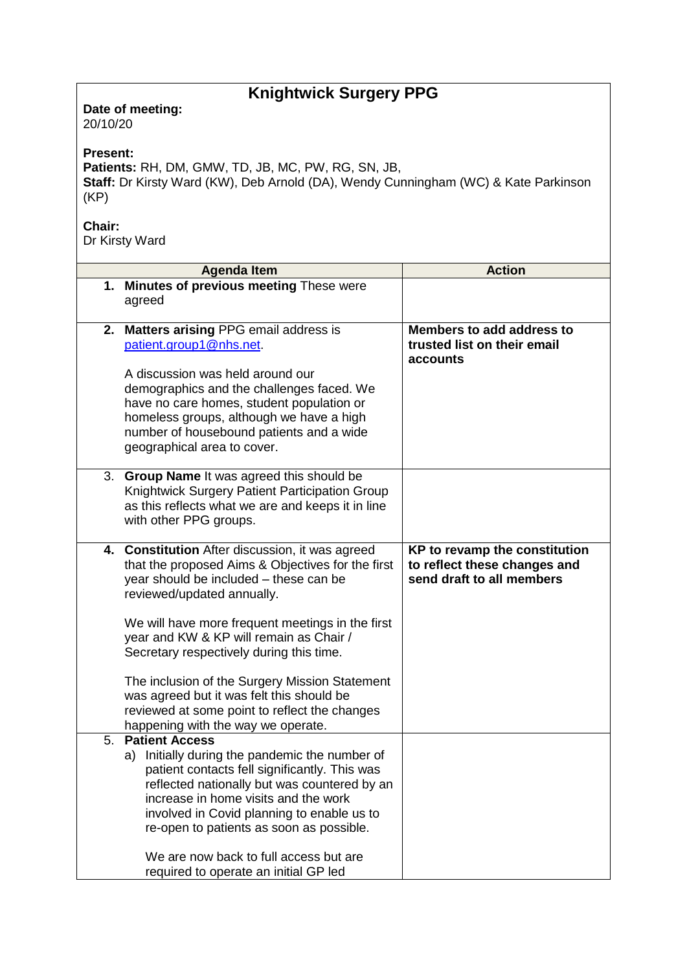## **Knightwick Surgery PPG**

**Date of meeting:**  20/10/20

## **Present:**

**Patients:** RH, DM, GMW, TD, JB, MC, PW, RG, SN, JB, **Staff:** Dr Kirsty Ward (KW), Deb Arnold (DA), Wendy Cunningham (WC) & Kate Parkinson (KP)

## **Chair:**

Dr Kirsty Ward

|    | <b>Agenda Item</b>                                          | <b>Action</b>                 |
|----|-------------------------------------------------------------|-------------------------------|
|    | 1. Minutes of previous meeting These were                   |                               |
|    | agreed                                                      |                               |
|    |                                                             |                               |
| 2. | <b>Matters arising PPG email address is</b>                 | Members to add address to     |
|    | patient.group1@nhs.net                                      | trusted list on their email   |
|    |                                                             | accounts                      |
|    | A discussion was held around our                            |                               |
|    | demographics and the challenges faced. We                   |                               |
|    | have no care homes, student population or                   |                               |
|    | homeless groups, although we have a high                    |                               |
|    | number of housebound patients and a wide                    |                               |
|    | geographical area to cover.                                 |                               |
| 3. | Group Name It was agreed this should be                     |                               |
|    | Knightwick Surgery Patient Participation Group              |                               |
|    | as this reflects what we are and keeps it in line           |                               |
|    | with other PPG groups.                                      |                               |
|    |                                                             |                               |
| 4. | <b>Constitution</b> After discussion, it was agreed         | KP to revamp the constitution |
|    | that the proposed Aims & Objectives for the first           | to reflect these changes and  |
|    | year should be included - these can be                      | send draft to all members     |
|    | reviewed/updated annually.                                  |                               |
|    |                                                             |                               |
|    | We will have more frequent meetings in the first            |                               |
|    | year and KW & KP will remain as Chair /                     |                               |
|    | Secretary respectively during this time.                    |                               |
|    |                                                             |                               |
|    | The inclusion of the Surgery Mission Statement              |                               |
|    | was agreed but it was felt this should be                   |                               |
|    | reviewed at some point to reflect the changes               |                               |
| 5. | happening with the way we operate.<br><b>Patient Access</b> |                               |
|    | Initially during the pandemic the number of<br>a)           |                               |
|    | patient contacts fell significantly. This was               |                               |
|    | reflected nationally but was countered by an                |                               |
|    | increase in home visits and the work                        |                               |
|    | involved in Covid planning to enable us to                  |                               |
|    | re-open to patients as soon as possible.                    |                               |
|    |                                                             |                               |
|    | We are now back to full access but are                      |                               |
|    | required to operate an initial GP led                       |                               |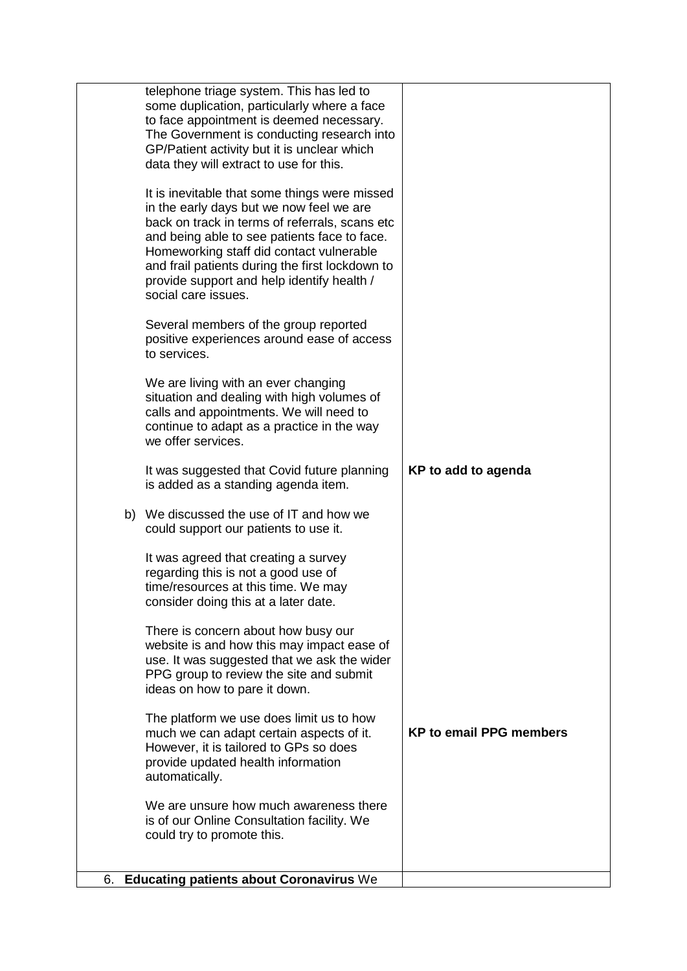|    | could try to promote this.                                                                                                                                                                                                                                                                                                                                      |                                |
|----|-----------------------------------------------------------------------------------------------------------------------------------------------------------------------------------------------------------------------------------------------------------------------------------------------------------------------------------------------------------------|--------------------------------|
|    | We are unsure how much awareness there<br>is of our Online Consultation facility. We                                                                                                                                                                                                                                                                            |                                |
|    | The platform we use does limit us to how<br>much we can adapt certain aspects of it.<br>However, it is tailored to GPs so does<br>provide updated health information<br>automatically.                                                                                                                                                                          | <b>KP to email PPG members</b> |
|    | There is concern about how busy our<br>website is and how this may impact ease of<br>use. It was suggested that we ask the wider<br>PPG group to review the site and submit<br>ideas on how to pare it down.                                                                                                                                                    |                                |
|    | It was agreed that creating a survey<br>regarding this is not a good use of<br>time/resources at this time. We may<br>consider doing this at a later date.                                                                                                                                                                                                      |                                |
| b) | We discussed the use of IT and how we<br>could support our patients to use it.                                                                                                                                                                                                                                                                                  |                                |
|    | It was suggested that Covid future planning<br>is added as a standing agenda item.                                                                                                                                                                                                                                                                              | KP to add to agenda            |
|    | We are living with an ever changing<br>situation and dealing with high volumes of<br>calls and appointments. We will need to<br>continue to adapt as a practice in the way<br>we offer services.                                                                                                                                                                |                                |
|    | Several members of the group reported<br>positive experiences around ease of access<br>to services.                                                                                                                                                                                                                                                             |                                |
|    | It is inevitable that some things were missed<br>in the early days but we now feel we are<br>back on track in terms of referrals, scans etc<br>and being able to see patients face to face.<br>Homeworking staff did contact vulnerable<br>and frail patients during the first lockdown to<br>provide support and help identify health /<br>social care issues. |                                |
|    | telephone triage system. This has led to<br>some duplication, particularly where a face<br>to face appointment is deemed necessary.<br>The Government is conducting research into<br>GP/Patient activity but it is unclear which<br>data they will extract to use for this.                                                                                     |                                |